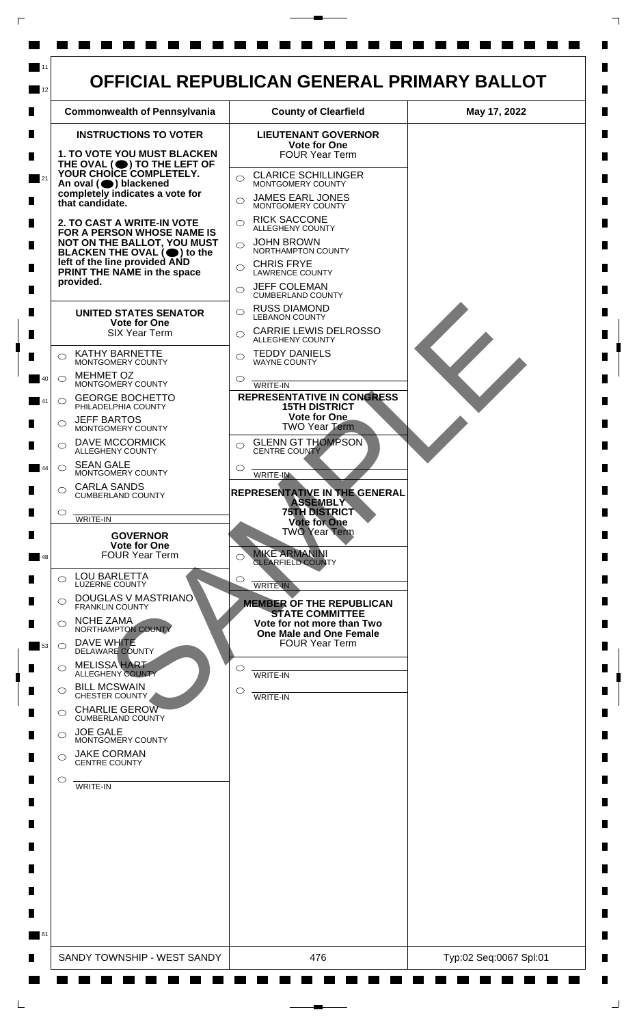

 $\mathsf{L}$ 

 $\Box$